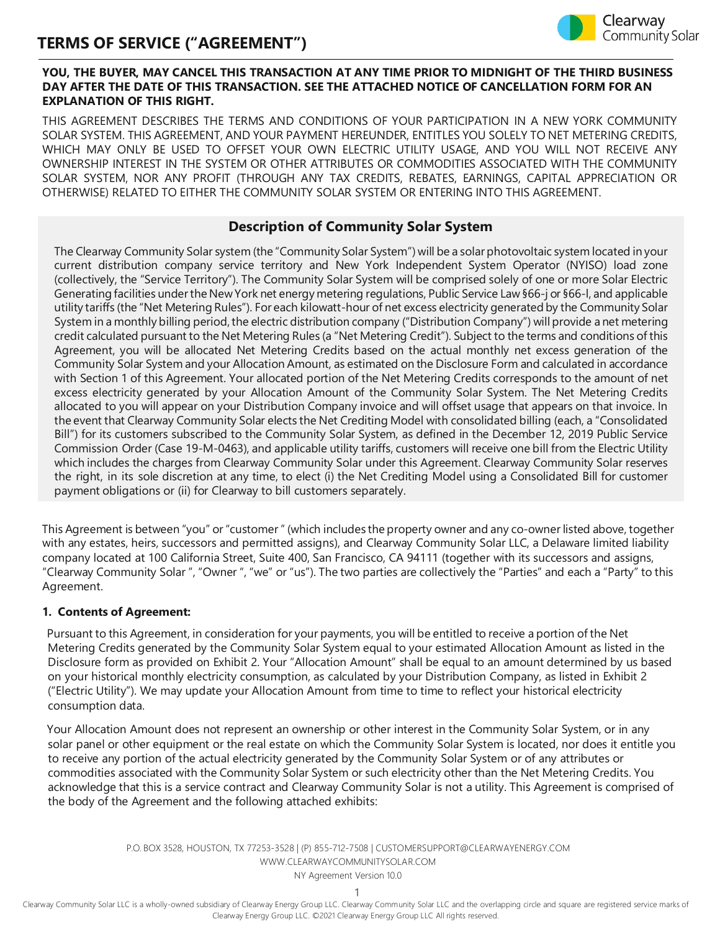

#### **YOU, THE BUYER, MAY CANCEL THIS TRANSACTION AT ANY TIME PRIOR TO MIDNIGHT OF THE THIRD BUSINESS DAY AFTER THE DATE OF THIS TRANSACTION. SEE THE ATTACHED NOTICE OF CANCELLATION FORM FOR AN EXPLANATION OF THIS RIGHT.**

THIS AGREEMENT DESCRIBES THE TERMS AND CONDITIONS OF YOUR PARTICIPATION IN A NEW YORK COMMUNITY SOLAR SYSTEM. THIS AGREEMENT, AND YOUR PAYMENT HEREUNDER, ENTITLES YOU SOLELY TO NET METERING CREDITS, WHICH MAY ONLY BE USED TO OFFSET YOUR OWN ELECTRIC UTILITY USAGE, AND YOU WILL NOT RECEIVE ANY OWNERSHIP INTEREST IN THE SYSTEM OR OTHER ATTRIBUTES OR COMMODITIES ASSOCIATED WITH THE COMMUNITY SOLAR SYSTEM, NOR ANY PROFIT (THROUGH ANY TAX CREDITS, REBATES, EARNINGS, CAPITAL APPRECIATION OR OTHERWISE) RELATED TO EITHER THE COMMUNITY SOLAR SYSTEM OR ENTERING INTO THIS AGREEMENT.

### **Description of Community Solar System**

The Clearway Community Solar system (the "Community Solar System") will be a solar photovoltaic system located in your current distribution company service territory and New York Independent System Operator (NYISO) load zone (collectively, the "Service Territory"). The Community Solar System will be comprised solely of one or more Solar Electric Generating facilities underthe NewYork net energy metering regulations, Public Service Law §66-j or §66-l, and applicable utility tariffs (the "Net Metering Rules"). For each kilowatt-hour of net excess electricity generated by the Community Solar System in a monthly billing period, the electric distribution company ("Distribution Company") will provide a net metering credit calculated pursuant to the Net Metering Rules (a "Net Metering Credit"). Subject to the terms and conditions of this Agreement, you will be allocated Net Metering Credits based on the actual monthly net excess generation of the Community Solar System and your Allocation Amount, as estimated on the Disclosure Form and calculated in accordance with Section 1 of this Agreement. Your allocated portion of the Net Metering Credits corresponds to the amount of net excess electricity generated by your Allocation Amount of the Community Solar System. The Net Metering Credits allocated to you will appear on your Distribution Company invoice and will offset usage that appears on that invoice. In the event that Clearway Community Solar elects the Net Crediting Model with consolidated billing (each, a "Consolidated Bill") for its customers subscribed to the Community Solar System, as defined in the December 12, 2019 Public Service Commission Order (Case 19-M-0463), and applicable utility tariffs, customers will receive one bill from the Electric Utility which includes the charges from Clearway Community Solar under this Agreement. Clearway Community Solar reserves the right, in its sole discretion at any time, to elect (i) the Net Crediting Model using a Consolidated Bill for customer payment obligations or (ii) for Clearway to bill customers separately.

This Agreement is between "you" or"customer" (which includes the property owner and any co-owner listed above, together with any estates, heirs, successors and permitted assigns), and Clearway Community Solar LLC, a Delaware limited liability company located at 100 California Street, Suite 400, San Francisco, CA 94111 (together with its successors and assigns, "Clearway Community Solar ", "Owner ", "we" or "us"). The two parties are collectively the "Parties" and each a "Party" to this Agreement.

#### **1. Contents of Agreement:**

Pursuant to this Agreement, in consideration for your payments, you will be entitled to receive a portion of the Net Metering Credits generated by the Community Solar System equal to your estimated Allocation Amount as listed in the Disclosure form as provided on Exhibit 2. Your "Allocation Amount" shall be equal to an amount determined by us based on your historical monthly electricity consumption, as calculated by your Distribution Company, as listed in Exhibit 2 ("Electric Utility"). We may update your Allocation Amount from time to time to reflect your historical electricity consumption data.

Your Allocation Amount does not represent an ownership or other interest in the Community Solar System, or in any solar panel or other equipment or the real estate on which the Community Solar System is located, nor does it entitle you to receive any portion of the actual electricity generated by the Community Solar System or of any attributes or commodities associated with the Community Solar System or such electricity other than the Net Metering Credits. You acknowledge that this is a service contract and Clearway Community Solar is not a utility. This Agreement is comprised of the body of the Agreement and the following attached exhibits:

> P.O. BOX 3528, HOUSTON, TX 77253-3528 | (P) 855-712-7508 [| CUSTOMERSUPPORT@CLEARWAYENERGY.COM](mailto:CUSTOMERSUPPORT@CLEARWAYENERGY.COM) [WWW.CLEARWAYCOMMUNITYSOLAR.COM](http://www.clearwaycommunitysolar.com/)

NY Agreement Version 10.0

1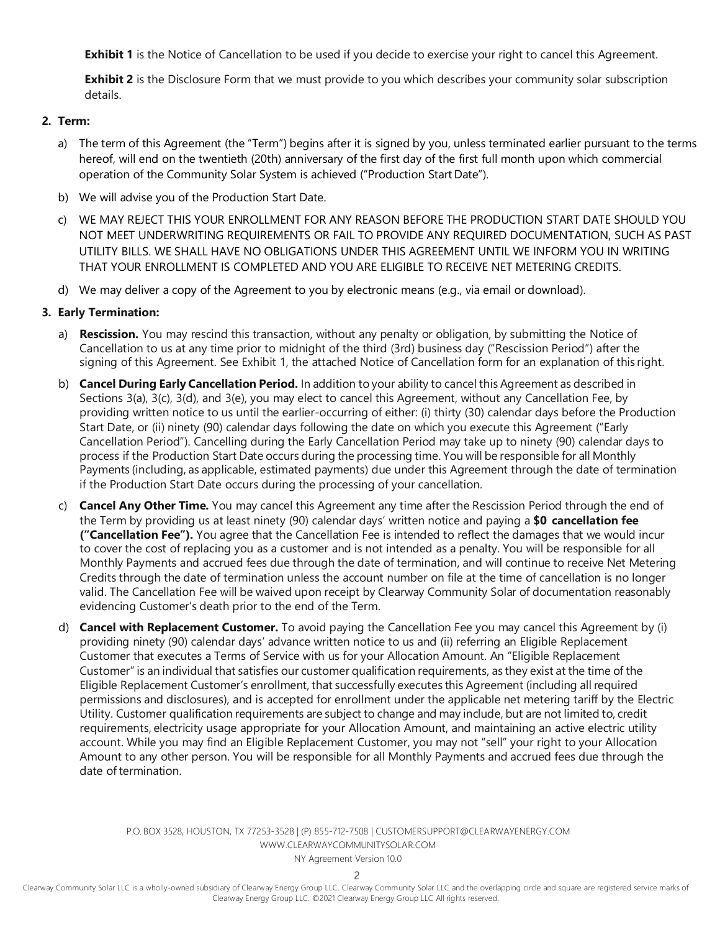**Exhibit 1** is the Notice of Cancellation to be used if you decide to exercise your right to cancel this Agreement.

**Exhibit 2** is the Disclosure Form that we must provide to you which describes your community solar subscription details.

#### **2. Term:**

- a) The term of this Agreement (the "Term") begins after it is signed by you, unless terminated earlier pursuant to the terms hereof, will end on the twentieth (20th) anniversary of the first day of the first full month upon which commercial operation of the Community Solar System is achieved ("Production Start Date").
- b) We will advise you of the Production Start Date.
- c) WE MAY REJECT THIS YOUR ENROLLMENT FOR ANY REASON BEFORE THE PRODUCTION START DATE SHOULD YOU NOT MEET UNDERWRITING REQUIREMENTS OR FAIL TO PROVIDE ANY REQUIRED DOCUMENTATION, SUCH AS PAST UTILITY BILLS. WE SHALL HAVE NO OBLIGATIONS UNDER THIS AGREEMENT UNTIL WE INFORM YOU IN WRITING THAT YOUR ENROLLMENT IS COMPLETED AND YOU ARE ELIGIBLE TO RECEIVE NET METERING CREDITS.
- d) We may deliver a copy of the Agreement to you by electronic means (e.g., via email or download).

#### **3. Early Termination:**

- a) **Rescission.** You may rescind this transaction, without any penalty or obligation, by submitting the Notice of Cancellation to us at any time prior to midnight of the third (3rd) business day ("Rescission Period") after the signing of this Agreement. See Exhibit 1, the attached Notice of Cancellation form for an explanation of this right.
- b) **Cancel During Early Cancellation Period.** In addition to your ability to cancel this Agreement as described in Sections 3(a), 3(c), 3(d), and 3(e), you may elect to cancel this Agreement, without any Cancellation Fee, by providing written notice to us until the earlier-occurring of either: (i) thirty (30) calendar days before the Production Start Date, or (ii) ninety (90) calendar days following the date on which you execute this Agreement ("Early Cancellation Period"). Cancelling during the Early Cancellation Period may take up to ninety (90) calendar days to process if the Production Start Date occurs during the processing time. You will be responsible for all Monthly Payments (including, as applicable, estimated payments) due under this Agreement through the date of termination if the Production Start Date occurs during the processing of your cancellation.
- c) **Cancel Any Other Time.** You may cancel this Agreement any time after the Rescission Period through the end of the Term by providing us at least ninety (90) calendar days' written notice and paying a **\$0 cancellation fee ("Cancellation Fee").** You agree that the Cancellation Fee is intended to reflect the damages that we would incur to cover the cost of replacing you as a customer and is not intended as a penalty. You will be responsible for all Monthly Payments and accrued fees due through the date of termination, and will continue to receive Net Metering Credits through the date of termination unless the account number on file at the time of cancellation is no longer valid. The Cancellation Fee will be waived upon receipt by Clearway Community Solar of documentation reasonably evidencing Customer's death prior to the end of the Term.
- d) **Cancel with Replacement Customer.** To avoid paying the Cancellation Fee you may cancel this Agreement by (i) providing ninety (90) calendar days' advance written notice to us and (ii) referring an Eligible Replacement Customer that executes a Terms of Service with us for your Allocation Amount. An "Eligible Replacement Customer" is an individual that satisfies our customer qualification requirements, as they exist at the time of the Eligible Replacement Customer's enrollment, that successfully executes this Agreement (including all required permissions and disclosures), and is accepted for enrollment under the applicable net metering tariff by the Electric Utility. Customer qualification requirements are subject to change and may include, but are not limited to, credit requirements, electricity usage appropriate for your Allocation Amount, and maintaining an active electric utility account. While you may find an Eligible Replacement Customer, you may not "sell" your right to your Allocation Amount to any other person. You will be responsible for all Monthly Payments and accrued fees due through the date of termination.

P.O. BOX 3528, HOUSTON, TX 77253-3528 | (P) 855-712-7508 [| CUSTOMERSUPPORT@CLEARWAYENERGY.COM](mailto:CUSTOMERSUPPORT@CLEARWAYENERGY.COM) [WWW.CLEARWAYCOMMUNITYSOLAR.COM](http://www.clearwaycommunitysolar.com/)

NY Agreement Version 10.0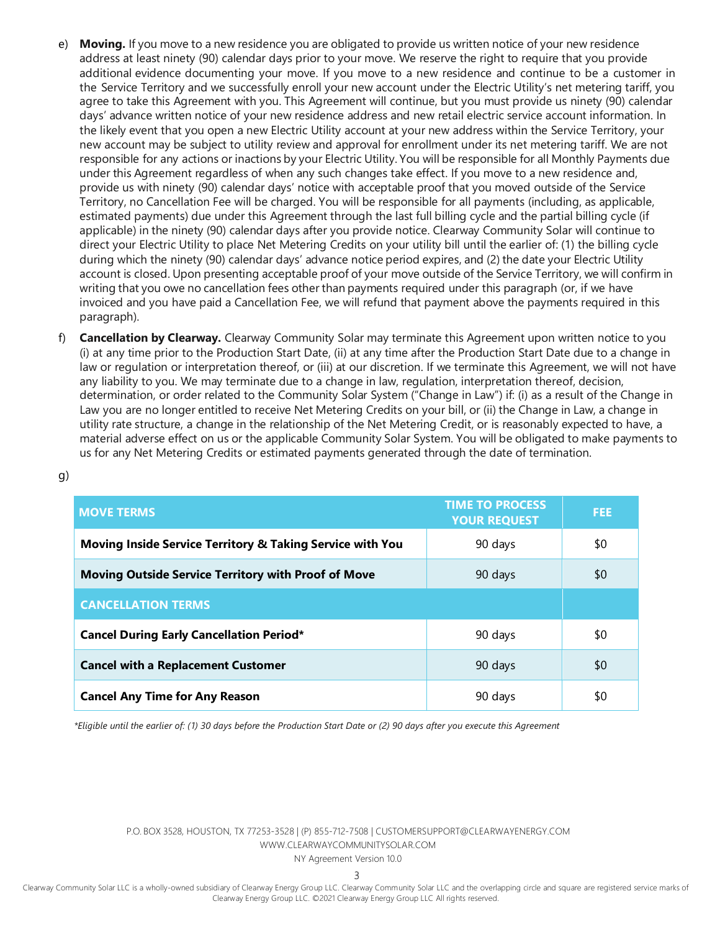- e) **Moving.** If you move to a new residence you are obligated to provide us written notice of your new residence address at least ninety (90) calendar days prior to your move. We reserve the right to require that you provide additional evidence documenting your move. If you move to a new residence and continue to be a customer in the Service Territory and we successfully enroll your new account under the Electric Utility's net metering tariff, you agree to take this Agreement with you. This Agreement will continue, but you must provide us ninety (90) calendar days' advance written notice of your new residence address and new retail electric service account information. In the likely event that you open a new Electric Utility account at your new address within the Service Territory, your new account may be subject to utility review and approval for enrollment under its net metering tariff. We are not responsible for any actions or inactions by your Electric Utility. You will be responsible for all Monthly Payments due under this Agreement regardless of when any such changes take effect. If you move to a new residence and, provide us with ninety (90) calendar days' notice with acceptable proof that you moved outside of the Service Territory, no Cancellation Fee will be charged. You will be responsible for all payments (including, as applicable, estimated payments) due under this Agreement through the last full billing cycle and the partial billing cycle (if applicable) in the ninety (90) calendar days after you provide notice. Clearway Community Solar will continue to direct your Electric Utility to place Net Metering Credits on your utility bill until the earlier of: (1) the billing cycle during which the ninety (90) calendar days' advance notice period expires, and (2) the date your Electric Utility account is closed. Upon presenting acceptable proof of your move outside of the Service Territory, we will confirm in writing that you owe no cancellation fees other than payments required under this paragraph (or, if we have invoiced and you have paid a Cancellation Fee, we will refund that payment above the payments required in this paragraph).
- **Cancellation by Clearway.** Clearway Community Solar may terminate this Agreement upon written notice to you (i) at any time prior to the Production Start Date, (ii) at any time after the Production Start Date due to a change in law or regulation or interpretation thereof, or (iii) at our discretion. If we terminate this Agreement, we will not have any liability to you. We may terminate due to a change in law, regulation, interpretation thereof, decision, determination, or order related to the Community Solar System ("Change in Law") if: (i) as a result of the Change in Law you are no longer entitled to receive Net Metering Credits on your bill, or (ii) the Change in Law, a change in utility rate structure, a change in the relationship of the Net Metering Credit, or is reasonably expected to have, a material adverse effect on us or the applicable Community Solar System. You will be obligated to make payments to us for any Net Metering Credits or estimated payments generated through the date of termination.

| <b>MOVE TERMS</b>                                          | <b>TIME TO PROCESS</b><br><b>YOUR REQUEST</b> | <b>FEE</b> |
|------------------------------------------------------------|-----------------------------------------------|------------|
| Moving Inside Service Territory & Taking Service with You  | 90 days                                       | \$0        |
| <b>Moving Outside Service Territory with Proof of Move</b> | 90 days                                       | \$0        |
| <b>CANCELLATION TERMS</b>                                  |                                               |            |
| <b>Cancel During Early Cancellation Period*</b>            | 90 days                                       | \$0        |
| <b>Cancel with a Replacement Customer</b>                  | 90 days                                       | \$0        |
| <b>Cancel Any Time for Any Reason</b>                      | 90 days                                       | \$0        |

*\*Eligible until the earlier of: (1) 30 days before the Production Start Date or (2) 90 days after you execute this Agreement*

g)

P.O. BOX 3528, HOUSTON, TX 77253-3528 | (P) 855-712-7508 [| CUSTOMERSUPPORT@CLEARWAYENERGY.COM](mailto:CUSTOMERSUPPORT@CLEARWAYENERGY.COM) [WWW.CLEARWAYCOMMUNITYSOLAR.COM](http://www.clearwaycommunitysolar.com/)

NY Agreement Version 10.0

3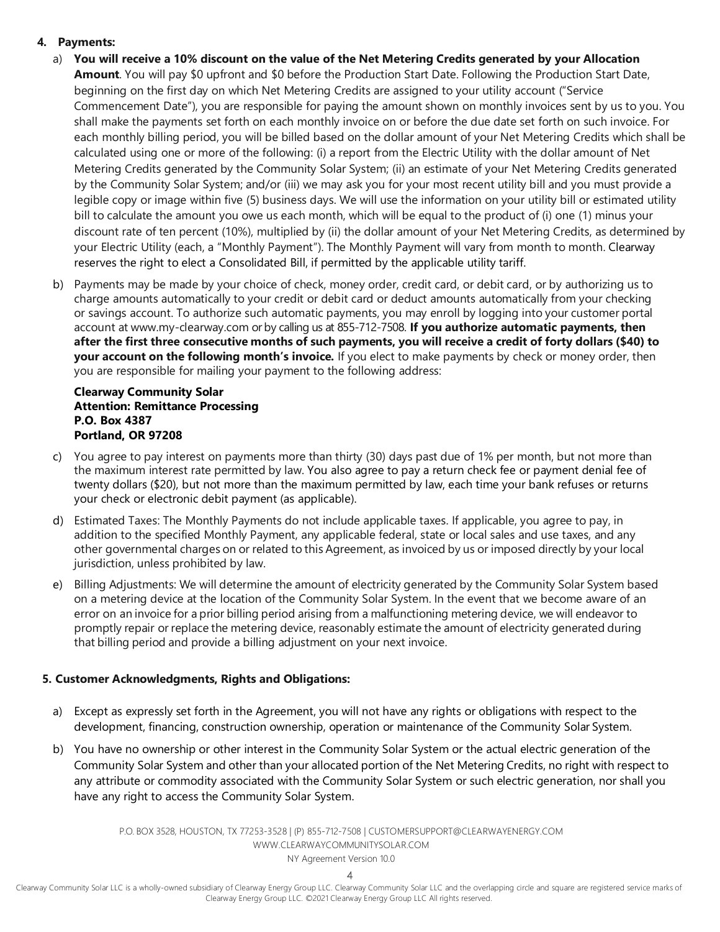## **4. Payments:**

- a) **You will receive a 10% discount on the value of the Net Metering Credits generated by your Allocation Amount**. You will pay \$0 upfront and \$0 before the Production Start Date. Following the Production Start Date, beginning on the first day on which Net Metering Credits are assigned to your utility account ("Service Commencement Date"), you are responsible for paying the amount shown on monthly invoices sent by us to you. You shall make the payments set forth on each monthly invoice on or before the due date set forth on such invoice. For each monthly billing period, you will be billed based on the dollar amount of your Net Metering Credits which shall be calculated using one or more of the following: (i) a report from the Electric Utility with the dollar amount of Net Metering Credits generated by the Community Solar System; (ii) an estimate of your Net Metering Credits generated by the Community Solar System; and/or (iii) we may ask you for your most recent utility bill and you must provide a legible copy or image within five (5) business days. We will use the information on your utility bill or estimated utility bill to calculate the amount you owe us each month, which will be equal to the product of (i) one (1) minus your discount rate of ten percent (10%), multiplied by (ii) the dollar amount of your Net Metering Credits, as determined by your Electric Utility (each, a "Monthly Payment"). The Monthly Payment will vary from month to month. Clearway reserves the right to elect a Consolidated Bill, if permitted by the applicable utility tariff.
- b) Payments may be made by your choice of check, money order, credit card, or debit card, or by authorizing us to charge amounts automatically to your credit or debit card or deduct amounts automatically from your checking or savings account. To authorize such automatic payments, you may enroll by logging into your customer portal account at [www.my-clearway.com](http://www.my-clearway.com/) or by calling us at 855-712-7508. **If you authorize automatic payments, then after the first three consecutive months of such payments, you will receive a credit of forty dollars (\$40) to your account on the following month's invoice.** If you elect to make payments by check or money order, then you are responsible for mailing your payment to the following address:

#### **Clearway Community Solar Attention: Remittance Processing P.O. Box 4387 Portland, OR 97208**

- c) You agree to pay interest on payments more than thirty (30) days past due of 1% per month, but not more than the maximum interest rate permitted by law. You also agree to pay a return check fee or payment denial fee of twenty dollars (\$20), but not more than the maximum permitted by law, each time your bank refuses or returns your check or electronic debit payment (as applicable).
- d) Estimated Taxes: The Monthly Payments do not include applicable taxes. If applicable, you agree to pay, in addition to the specified Monthly Payment, any applicable federal, state or local sales and use taxes, and any other governmental charges on or related to this Agreement, as invoiced by us or imposed directly by your local jurisdiction, unless prohibited by law.
- e) Billing Adjustments: We will determine the amount of electricity generated by the Community Solar System based on a metering device at the location of the Community Solar System. In the event that we become aware of an error on an invoice for a prior billing period arising from a malfunctioning metering device, we will endeavor to promptly repair or replace the metering device, reasonably estimate the amount of electricity generated during that billing period and provide a billing adjustment on your next invoice.

## **5. Customer Acknowledgments, Rights and Obligations:**

- a) Except as expressly set forth in the Agreement, you will not have any rights or obligations with respect to the development, financing, construction ownership, operation or maintenance of the Community Solar System.
- b) You have no ownership or other interest in the Community Solar System or the actual electric generation of the Community Solar System and other than your allocated portion of the Net Metering Credits, no right with respect to any attribute or commodity associated with the Community Solar System or such electric generation, nor shall you have any right to access the Community Solar System.

P.O. BOX 3528, HOUSTON, TX 77253-3528 | (P) 855-712-7508 [| CUSTOMERSUPPORT@CLEARWAYENERGY.COM](mailto:CUSTOMERSUPPORT@CLEARWAYENERGY.COM) [WWW.CLEARWAYCOMMUNITYSOLAR.COM](http://www.clearwaycommunitysolar.com/)

NY Agreement Version 10.0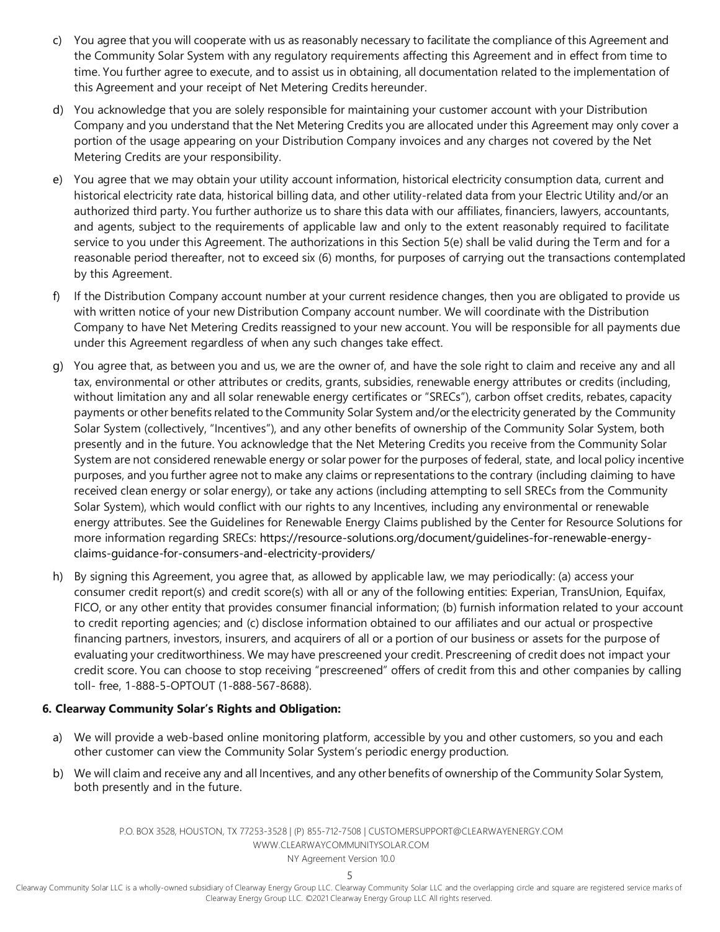- c) You agree that you will cooperate with us as reasonably necessary to facilitate the compliance of this Agreement and the Community Solar System with any regulatory requirements affecting this Agreement and in effect from time to time. You further agree to execute, and to assist us in obtaining, all documentation related to the implementation of this Agreement and your receipt of Net Metering Credits hereunder.
- d) You acknowledge that you are solely responsible for maintaining your customer account with your Distribution Company and you understand that the Net Metering Credits you are allocated under this Agreement may only cover a portion of the usage appearing on your Distribution Company invoices and any charges not covered by the Net Metering Credits are your responsibility.
- e) You agree that we may obtain your utility account information, historical electricity consumption data, current and historical electricity rate data, historical billing data, and other utility-related data from your Electric Utility and/or an authorized third party. You further authorize us to share this data with our affiliates, financiers, lawyers, accountants, and agents, subject to the requirements of applicable law and only to the extent reasonably required to facilitate service to you under this Agreement. The authorizations in this Section 5(e) shall be valid during the Term and for a reasonable period thereafter, not to exceed six (6) months, for purposes of carrying out the transactions contemplated by this Agreement.
- f) If the Distribution Company account number at your current residence changes, then you are obligated to provide us with written notice of your new Distribution Company account number. We will coordinate with the Distribution Company to have Net Metering Credits reassigned to your new account. You will be responsible for all payments due under this Agreement regardless of when any such changes take effect.
- g) You agree that, as between you and us, we are the owner of, and have the sole right to claim and receive any and all tax, environmental or other attributes or credits, grants, subsidies, renewable energy attributes or credits (including, without limitation any and all solar renewable energy certificates or "SRECs"), carbon offset credits, rebates, capacity payments or other benefits related to the Community Solar System and/or the electricity generated by the Community Solar System (collectively, "Incentives"), and any other benefits of ownership of the Community Solar System, both presently and in the future. You acknowledge that the Net Metering Credits you receive from the Community Solar System are not considered renewable energy or solar power for the purposes of federal, state, and local policy incentive purposes, and you further agree not to make any claims or representations to the contrary (including claiming to have received clean energy or solar energy), or take any actions (including attempting to sell SRECs from the Community Solar System), which would conflict with our rights to any Incentives, including any environmental or renewable energy attributes. See the Guidelines for Renewable Energy Claims published by the Center for Resource Solutions for more information regarding SRECs: https://resource-solutions.org/document/guidelines-for-renewable-energyclaims-guidance-for-consumers-and-electricity-providers/
- h) By signing this Agreement, you agree that, as allowed by applicable law, we may periodically: (a) access your consumer credit report(s) and credit score(s) with all or any of the following entities: Experian, TransUnion, Equifax, FICO, or any other entity that provides consumer financial information; (b) furnish information related to your account to credit reporting agencies; and (c) disclose information obtained to our affiliates and our actual or prospective financing partners, investors, insurers, and acquirers of all or a portion of our business or assets for the purpose of evaluating your creditworthiness. We may have prescreened your credit. Prescreening of credit does not impact your credit score. You can choose to stop receiving "prescreened" offers of credit from this and other companies by calling toll- free, 1-888-5-OPTOUT (1-888-567-8688).

#### **6. Clearway Community Solar's Rights and Obligation:**

- a) We will provide a web-based online monitoring platform, accessible by you and other customers, so you and each other customer can view the Community Solar System's periodic energy production.
- b) We will claim and receive any and all Incentives, and any other benefits of ownership of the Community Solar System, both presently and in the future.

P.O. BOX 3528, HOUSTON, TX 77253-3528 | (P) 855-712-7508 [| CUSTOMERSUPPORT@CLEARWAYENERGY.COM](mailto:CUSTOMERSUPPORT@CLEARWAYENERGY.COM) [WWW.CLEARWAYCOMMUNITYSOLAR.COM](http://www.clearwaycommunitysolar.com/)

NY Agreement Version 10.0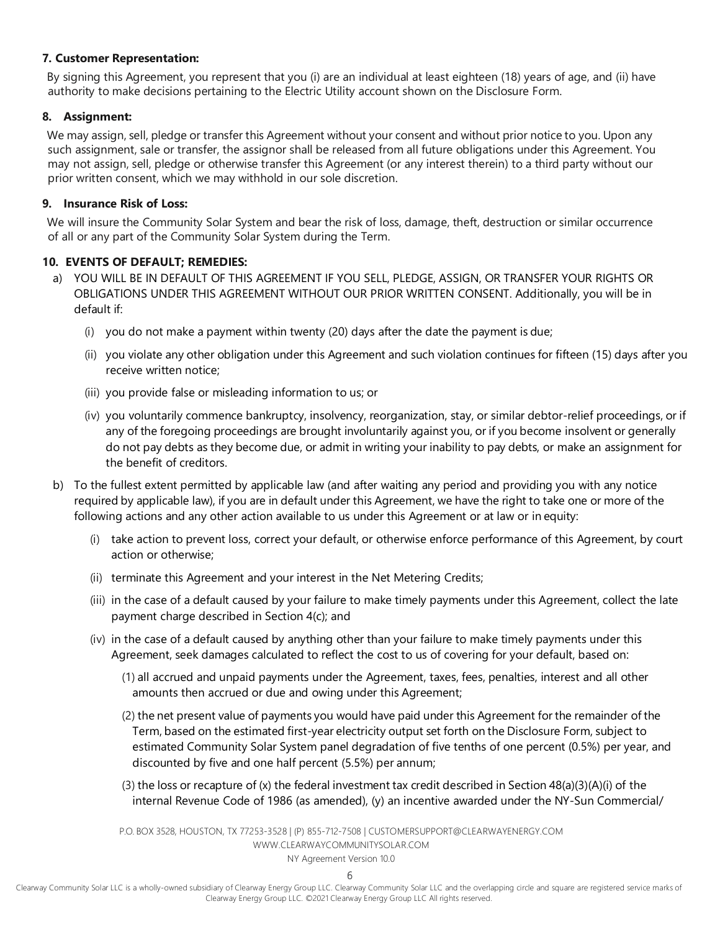#### **7. Customer Representation:**

By signing this Agreement, you represent that you (i) are an individual at least eighteen (18) years of age, and (ii) have authority to make decisions pertaining to the Electric Utility account shown on the Disclosure Form.

#### **8. Assignment:**

We may assign, sell, pledge or transfer this Agreement without your consent and without prior notice to you. Upon any such assignment, sale or transfer, the assignor shall be released from all future obligations under this Agreement. You may not assign, sell, pledge or otherwise transfer this Agreement (or any interest therein) to a third party without our prior written consent, which we may withhold in our sole discretion.

#### **9. Insurance Risk of Loss:**

We will insure the Community Solar System and bear the risk of loss, damage, theft, destruction or similar occurrence of all or any part of the Community Solar System during the Term.

#### **10. EVENTS OF DEFAULT; REMEDIES:**

- a) YOU WILL BE IN DEFAULT OF THIS AGREEMENT IF YOU SELL, PLEDGE, ASSIGN, OR TRANSFER YOUR RIGHTS OR OBLIGATIONS UNDER THIS AGREEMENT WITHOUT OUR PRIOR WRITTEN CONSENT. Additionally, you will be in default if:
	- (i) you do not make a payment within twenty (20) days after the date the payment is due;
	- (ii) you violate any other obligation under this Agreement and such violation continues for fifteen (15) days after you receive written notice;
	- (iii) you provide false or misleading information to us; or
	- (iv) you voluntarily commence bankruptcy, insolvency, reorganization, stay, or similar debtor-relief proceedings, or if any of the foregoing proceedings are brought involuntarily against you, or if you become insolvent or generally do not pay debts as they become due, or admit in writing your inability to pay debts, or make an assignment for the benefit of creditors.
- b) To the fullest extent permitted by applicable law (and after waiting any period and providing you with any notice required by applicable law), if you are in default under this Agreement, we have the right to take one or more of the following actions and any other action available to us under this Agreement or at law or in equity:
	- (i) take action to prevent loss, correct your default, or otherwise enforce performance of this Agreement, by court action or otherwise;
	- (ii) terminate this Agreement and your interest in the Net Metering Credits;
	- (iii) in the case of a default caused by your failure to make timely payments under this Agreement, collect the late payment charge described in Section 4(c); and
	- (iv) in the case of a default caused by anything other than your failure to make timely payments under this Agreement, seek damages calculated to reflect the cost to us of covering for your default, based on:
		- (1) all accrued and unpaid payments under the Agreement, taxes, fees, penalties, interest and all other amounts then accrued or due and owing under this Agreement;
		- (2) the net present value of payments you would have paid under this Agreement for the remainder of the Term, based on the estimated first-year electricity output set forth on the Disclosure Form, subject to estimated Community Solar System panel degradation of five tenths of one percent (0.5%) per year, and discounted by five and one half percent (5.5%) per annum;
		- (3) the loss or recapture of (x) the federal investment tax credit described in Section 48(a)(3)(A)(i) of the internal Revenue Code of 1986 (as amended), (y) an incentive awarded under the NY-Sun Commercial/

P.O. BOX 3528, HOUSTON, TX 77253-3528 | (P) 855-712-7508 [| CUSTOMERSUPPORT@CLEARWAYENERGY.COM](mailto:CUSTOMERSUPPORT@CLEARWAYENERGY.COM) [WWW.CLEARWAYCOMMUNITYSOLAR.COM](http://www.clearwaycommunitysolar.com/)

NY Agreement Version 10.0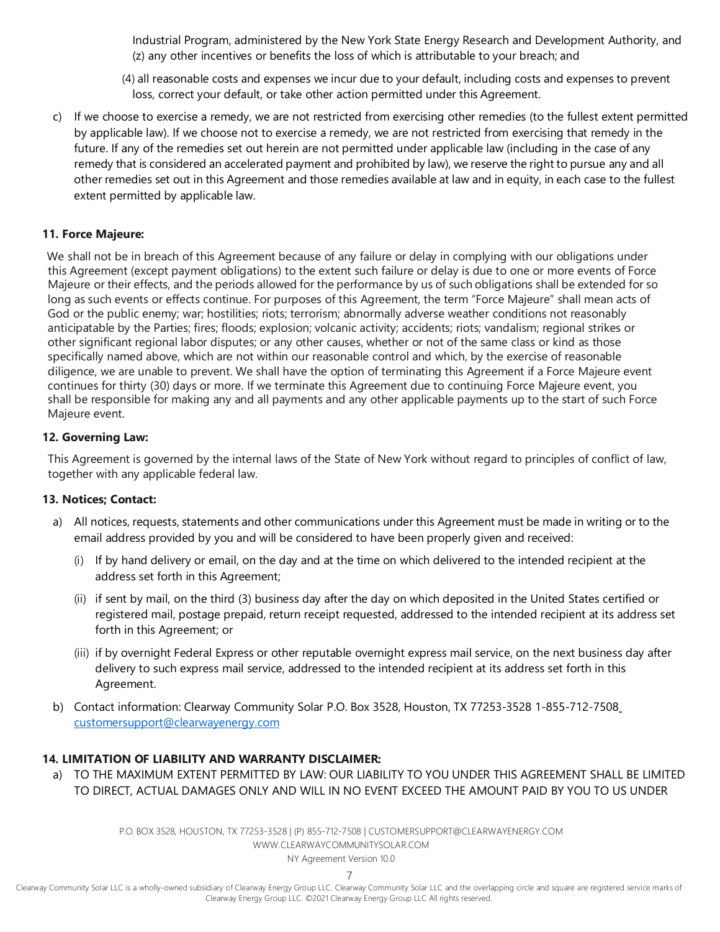Industrial Program, administered by the New York State Energy Research and Development Authority, and (z) any other incentives or benefits the loss of which is attributable to your breach; and

- (4) all reasonable costs and expenses we incur due to your default, including costs and expenses to prevent loss, correct your default, or take other action permitted under this Agreement.
- c) If we choose to exercise a remedy, we are not restricted from exercising other remedies (to the fullest extent permitted by applicable law). If we choose not to exercise a remedy, we are not restricted from exercising that remedy in the future. If any of the remedies set out herein are not permitted under applicable law (including in the case of any remedy that is considered an accelerated payment and prohibited by law), we reserve the right to pursue any and all other remedies set out in this Agreement and those remedies available at law and in equity, in each case to the fullest extent permitted by applicable law.

#### **11. Force Majeure:**

We shall not be in breach of this Agreement because of any failure or delay in complying with our obligations under this Agreement (except payment obligations) to the extent such failure or delay is due to one or more events of Force Majeure or their effects, and the periods allowed for the performance by us of such obligations shall be extended for so long as such events or effects continue. For purposes of this Agreement, the term "Force Majeure" shall mean acts of God or the public enemy; war; hostilities; riots; terrorism; abnormally adverse weather conditions not reasonably anticipatable by the Parties; fires; floods; explosion; volcanic activity; accidents; riots; vandalism; regional strikes or other significant regional labor disputes; or any other causes, whether or not of the same class or kind as those specifically named above, which are not within our reasonable control and which, by the exercise of reasonable diligence, we are unable to prevent. We shall have the option of terminating this Agreement if a Force Majeure event continues for thirty (30) days or more. If we terminate this Agreement due to continuing Force Majeure event, you shall be responsible for making any and all payments and any other applicable payments up to the start of such Force Majeure event.

#### **12. Governing Law:**

This Agreement is governed by the internal laws of the State of New York without regard to principles of conflict of law, together with any applicable federal law.

#### **13. Notices; Contact:**

- a) All notices, requests, statements and other communications under this Agreement must be made in writing or to the email address provided by you and will be considered to have been properly given and received:
	- (i) If by hand delivery or email, on the day and at the time on which delivered to the intended recipient at the address set forth in this Agreement;
	- (ii) if sent by mail, on the third (3) business day after the day on which deposited in the United States certified or registered mail, postage prepaid, return receipt requested, addressed to the intended recipient at its address set forth in this Agreement; or
	- (iii) if by overnight Federal Express or other reputable overnight express mail service, on the next business day after delivery to such express mail service, addressed to the intended recipient at its address set forth in this Agreement.
- b) Contact information: Clearway Community Solar P.O. Box 3528, Houston, TX 77253-3528 1-855-712-750[8](mailto:customersupport@clearwayenergy.com) [customersupport@clearwayenergy.com](mailto:customersupport@clearwayenergy.com)

#### **14. LIMITATION OF LIABILITY AND WARRANTY DISCLAIMER:**

a) TO THE MAXIMUM EXTENT PERMITTED BY LAW: OUR LIABILITY TO YOU UNDER THIS AGREEMENT SHALL BE LIMITED TO DIRECT, ACTUAL DAMAGES ONLY AND WILL IN NO EVENT EXCEED THE AMOUNT PAID BY YOU TO US UNDER

> P.O. BOX 3528, HOUSTON, TX 77253-3528 | (P) 855-712-7508 [| CUSTOMERSUPPORT@CLEARWAYENERGY.COM](mailto:CUSTOMERSUPPORT@CLEARWAYENERGY.COM) [WWW.CLEARWAYCOMMUNITYSOLAR.COM](http://www.clearwaycommunitysolar.com/)

> > NY Agreement Version 10.0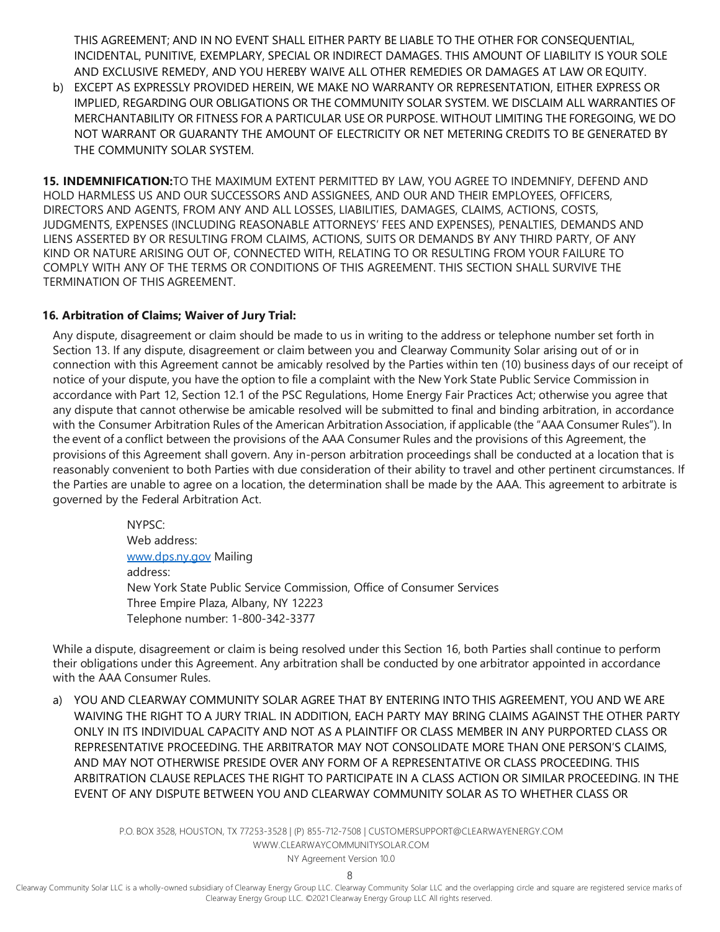THIS AGREEMENT; AND IN NO EVENT SHALL EITHER PARTY BE LIABLE TO THE OTHER FOR CONSEQUENTIAL, INCIDENTAL, PUNITIVE, EXEMPLARY, SPECIAL OR INDIRECT DAMAGES. THIS AMOUNT OF LIABILITY IS YOUR SOLE AND EXCLUSIVE REMEDY, AND YOU HEREBY WAIVE ALL OTHER REMEDIES OR DAMAGES AT LAW OR EQUITY.

b) EXCEPT AS EXPRESSLY PROVIDED HEREIN, WE MAKE NO WARRANTY OR REPRESENTATION, EITHER EXPRESS OR IMPLIED, REGARDING OUR OBLIGATIONS OR THE COMMUNITY SOLAR SYSTEM. WE DISCLAIM ALL WARRANTIES OF MERCHANTABILITY OR FITNESS FOR A PARTICULAR USE OR PURPOSE. WITHOUT LIMITING THE FOREGOING, WE DO NOT WARRANT OR GUARANTY THE AMOUNT OF ELECTRICITY OR NET METERING CREDITS TO BE GENERATED BY THE COMMUNITY SOLAR SYSTEM.

**15. INDEMNIFICATION:**TO THE MAXIMUM EXTENT PERMITTED BY LAW, YOU AGREE TO INDEMNIFY, DEFEND AND HOLD HARMLESS US AND OUR SUCCESSORS AND ASSIGNEES, AND OUR AND THEIR EMPLOYEES, OFFICERS, DIRECTORS AND AGENTS, FROM ANY AND ALL LOSSES, LIABILITIES, DAMAGES, CLAIMS, ACTIONS, COSTS, JUDGMENTS, EXPENSES (INCLUDING REASONABLE ATTORNEYS' FEES AND EXPENSES), PENALTIES, DEMANDS AND LIENS ASSERTED BY OR RESULTING FROM CLAIMS, ACTIONS, SUITS OR DEMANDS BY ANY THIRD PARTY, OF ANY KIND OR NATURE ARISING OUT OF, CONNECTED WITH, RELATING TO OR RESULTING FROM YOUR FAILURE TO COMPLY WITH ANY OF THE TERMS OR CONDITIONS OF THIS AGREEMENT. THIS SECTION SHALL SURVIVE THE TERMINATION OF THIS AGREEMENT.

#### **16. Arbitration of Claims; Waiver of Jury Trial:**

Any dispute, disagreement or claim should be made to us in writing to the address or telephone number set forth in Section 13. If any dispute, disagreement or claim between you and Clearway Community Solar arising out of or in connection with this Agreement cannot be amicably resolved by the Parties within ten (10) business days of our receipt of notice of your dispute, you have the option to file a complaint with the New York State Public Service Commission in accordance with Part 12, Section 12.1 of the PSC Regulations, Home Energy Fair Practices Act; otherwise you agree that any dispute that cannot otherwise be amicable resolved will be submitted to final and binding arbitration, in accordance with the Consumer Arbitration Rules of the American Arbitration Association, if applicable (the "AAA Consumer Rules"). In the event of a conflict between the provisions of the AAA Consumer Rules and the provisions of this Agreement, the provisions of this Agreement shall govern. Any in-person arbitration proceedings shall be conducted at a location that is reasonably convenient to both Parties with due consideration of their ability to travel and other pertinent circumstances. If the Parties are unable to agree on a location, the determination shall be made by the AAA. This agreement to arbitrate is governed by the Federal Arbitration Act.

> NYPSC: Web address: [www.dps.ny.gov](http://www.dps.ny.gov/) Mailing address: New York State Public Service Commission, Office of Consumer Services Three Empire Plaza, Albany, NY 12223 Telephone number: 1-800-342-3377

While a dispute, disagreement or claim is being resolved under this Section 16, both Parties shall continue to perform their obligations under this Agreement. Any arbitration shall be conducted by one arbitrator appointed in accordance with the AAA Consumer Rules.

a) YOU AND CLEARWAY COMMUNITY SOLAR AGREE THAT BY ENTERING INTO THIS AGREEMENT, YOU AND WE ARE WAIVING THE RIGHT TO A JURY TRIAL. IN ADDITION, EACH PARTY MAY BRING CLAIMS AGAINST THE OTHER PARTY ONLY IN ITS INDIVIDUAL CAPACITY AND NOT AS A PLAINTIFF OR CLASS MEMBER IN ANY PURPORTED CLASS OR REPRESENTATIVE PROCEEDING. THE ARBITRATOR MAY NOT CONSOLIDATE MORE THAN ONE PERSON'S CLAIMS, AND MAY NOT OTHERWISE PRESIDE OVER ANY FORM OF A REPRESENTATIVE OR CLASS PROCEEDING. THIS ARBITRATION CLAUSE REPLACES THE RIGHT TO PARTICIPATE IN A CLASS ACTION OR SIMILAR PROCEEDING. IN THE EVENT OF ANY DISPUTE BETWEEN YOU AND CLEARWAY COMMUNITY SOLAR AS TO WHETHER CLASS OR

> P.O. BOX 3528, HOUSTON, TX 77253-3528 | (P) 855-712-7508 [| CUSTOMERSUPPORT@CLEARWAYENERGY.COM](mailto:CUSTOMERSUPPORT@CLEARWAYENERGY.COM) [WWW.CLEARWAYCOMMUNITYSOLAR.COM](http://www.clearwaycommunitysolar.com/)

NY Agreement Version 10.0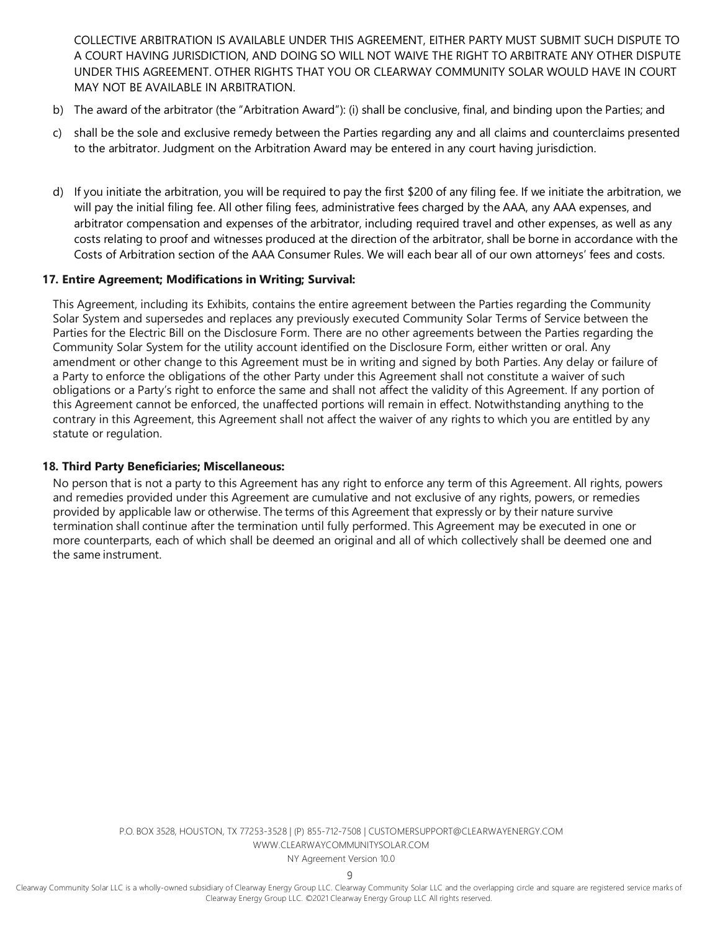COLLECTIVE ARBITRATION IS AVAILABLE UNDER THIS AGREEMENT, EITHER PARTY MUST SUBMIT SUCH DISPUTE TO A COURT HAVING JURISDICTION, AND DOING SO WILL NOT WAIVE THE RIGHT TO ARBITRATE ANY OTHER DISPUTE UNDER THIS AGREEMENT. OTHER RIGHTS THAT YOU OR CLEARWAY COMMUNITY SOLAR WOULD HAVE IN COURT MAY NOT BE AVAILABLE IN ARBITRATION.

- b) The award of the arbitrator (the "Arbitration Award"): (i) shall be conclusive, final, and binding upon the Parties; and
- c) shall be the sole and exclusive remedy between the Parties regarding any and all claims and counterclaims presented to the arbitrator. Judgment on the Arbitration Award may be entered in any court having jurisdiction.
- d) If you initiate the arbitration, you will be required to pay the first \$200 of any filing fee. If we initiate the arbitration, we will pay the initial filing fee. All other filing fees, administrative fees charged by the AAA, any AAA expenses, and arbitrator compensation and expenses of the arbitrator, including required travel and other expenses, as well as any costs relating to proof and witnesses produced at the direction of the arbitrator, shall be borne in accordance with the Costs of Arbitration section of the AAA Consumer Rules. We will each bear all of our own attorneys' fees and costs.

#### **17. Entire Agreement; Modifications in Writing; Survival:**

This Agreement, including its Exhibits, contains the entire agreement between the Parties regarding the Community Solar System and supersedes and replaces any previously executed Community Solar Terms of Service between the Parties for the Electric Bill on the Disclosure Form. There are no other agreements between the Parties regarding the Community Solar System for the utility account identified on the Disclosure Form, either written or oral. Any amendment or other change to this Agreement must be in writing and signed by both Parties. Any delay or failure of a Party to enforce the obligations of the other Party under this Agreement shall not constitute a waiver of such obligations or a Party's right to enforce the same and shall not affect the validity of this Agreement. If any portion of this Agreement cannot be enforced, the unaffected portions will remain in effect. Notwithstanding anything to the contrary in this Agreement, this Agreement shall not affect the waiver of any rights to which you are entitled by any statute or regulation.

#### **18. Third Party Beneficiaries; Miscellaneous:**

No person that is not a party to this Agreement has any right to enforce any term of this Agreement. All rights, powers and remedies provided under this Agreement are cumulative and not exclusive of any rights, powers, or remedies provided by applicable law or otherwise. The terms of this Agreement that expressly or by their nature survive termination shall continue after the termination until fully performed. This Agreement may be executed in one or more counterparts, each of which shall be deemed an original and all of which collectively shall be deemed one and the same instrument.

> P.O. BOX 3528, HOUSTON, TX 77253-3528 | (P) 855-712-7508 [| CUSTOMERSUPPORT@CLEARWAYENERGY.COM](mailto:CUSTOMERSUPPORT@CLEARWAYENERGY.COM) [WWW.CLEARWAYCOMMUNITYSOLAR.COM](http://www.clearwaycommunitysolar.com/)

NY Agreement Version 10.0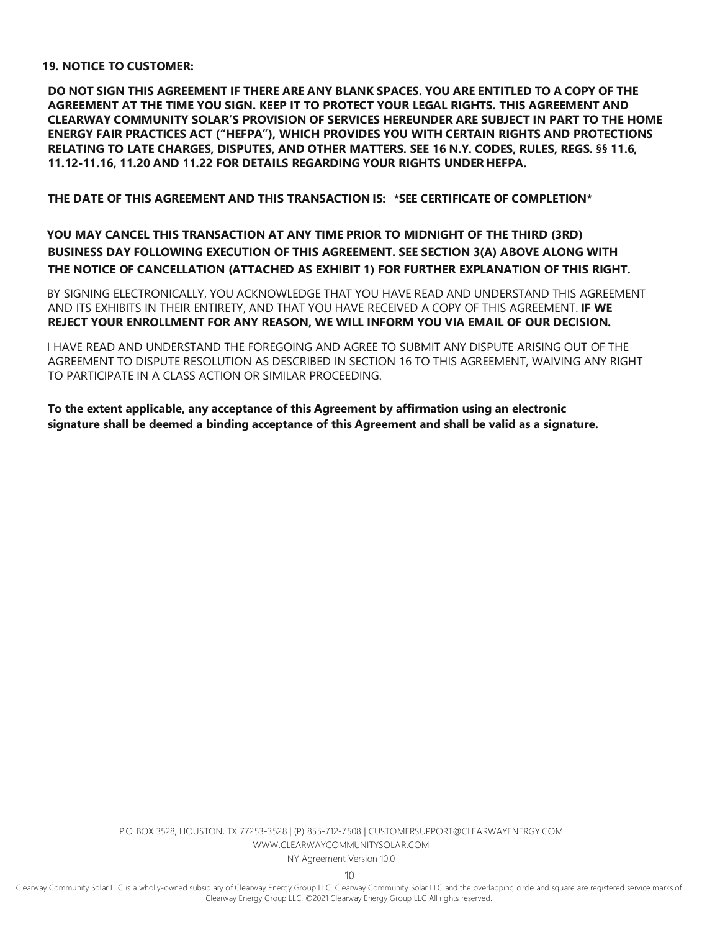#### **19. NOTICE TO CUSTOMER:**

DO NOT SIGN THIS AGREEMENT IF THERE ARE ANY BLANK SPACES. YOU ARE ENTITLED TO A COPY OF THE **AGREEMENT AT THE TIME YOU SIGN. KEEP IT TO PROTECT YOUR LEGAL RIGHTS. THIS AGREEMENT AND CLEARWAY COMMUNITY SOLAR'S PROVISION OF SERVICES HEREUNDER ARE SUBJECT IN PART TO THE HOME ENERGY FAIR PRACTICES ACT ("HEFPA"), WHICH PROVIDES YOU WITH CERTAIN RIGHTS AND PROTECTIONS RELATING TO LATE CHARGES, DISPUTES, AND OTHER MATTERS. SEE 16 N.Y. CODES, RULES, REGS. §§ 11.6, 11.12-11.16, 11.20 AND 11.22 FOR DETAILS REGARDING YOUR RIGHTS UNDER HEFPA.**

**THE DATE OF THIS AGREEMENT AND THIS TRANSACTION IS: \*SEE CERTIFICATE OF COMPLETION\***

**YOU MAY CANCEL THIS TRANSACTION AT ANY TIME PRIOR TO MIDNIGHT OF THE THIRD (3RD) BUSINESS DAY FOLLOWING EXECUTION OF THIS AGREEMENT. SEE SECTION 3(A) ABOVE ALONG WITH THE NOTICE OF CANCELLATION (ATTACHED AS EXHIBIT 1) FOR FURTHER EXPLANATION OF THIS RIGHT.**

BY SIGNING ELECTRONICALLY, YOU ACKNOWLEDGE THAT YOU HAVE READ AND UNDERSTAND THIS AGREEMENT AND ITS EXHIBITS IN THEIR ENTIRETY, AND THAT YOU HAVE RECEIVED A COPY OF THIS AGREEMENT. **IF WE REJECT YOUR ENROLLMENT FOR ANY REASON, WE WILL INFORM YOU VIA EMAIL OF OUR DECISION.**

I HAVE READ AND UNDERSTAND THE FOREGOING AND AGREE TO SUBMIT ANY DISPUTE ARISING OUT OF THE AGREEMENT TO DISPUTE RESOLUTION AS DESCRIBED IN SECTION 16 TO THIS AGREEMENT, WAIVING ANY RIGHT TO PARTICIPATE IN A CLASS ACTION OR SIMILAR PROCEEDING.

**To the extent applicable, any acceptance of this Agreement by affirmation using an electronic signature shall be deemed a binding acceptance of this Agreement and shall be valid as a signature.**

> P.O. BOX 3528, HOUSTON, TX 77253-3528 | (P) 855-712-7508 [| CUSTOMERSUPPORT@CLEARWAYENERGY.COM](mailto:CUSTOMERSUPPORT@CLEARWAYENERGY.COM) [WWW.CLEARWAYCOMMUNITYSOLAR.COM](http://www.clearwaycommunitysolar.com/)

NY Agreement Version 10.0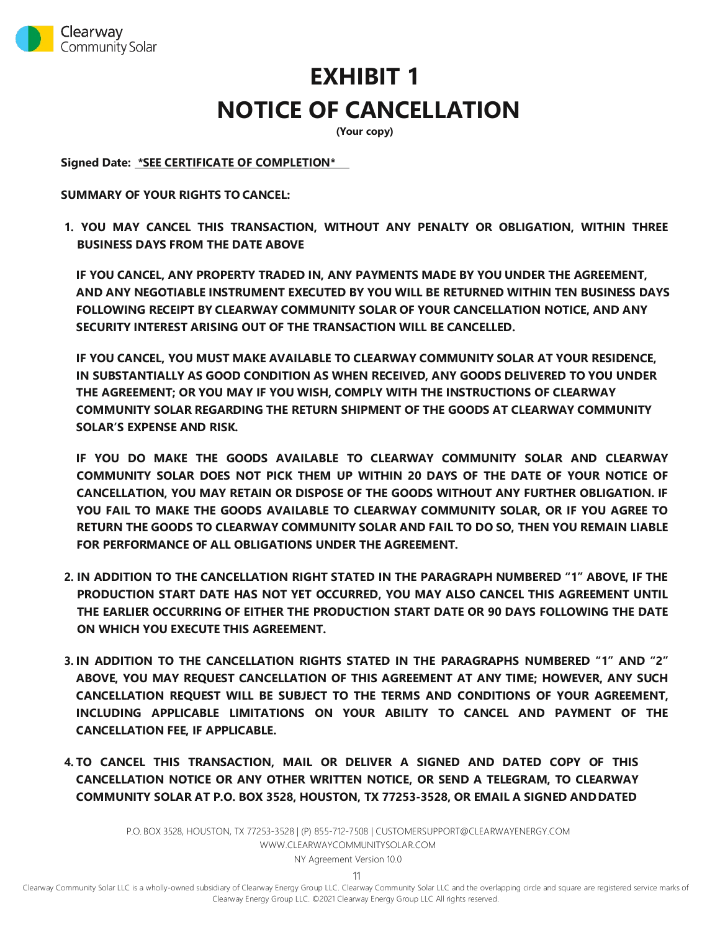

# **EXHIBIT 1 NOTICE OF CANCELLATION**

**(Your copy)**

**Signed Date: \*SEE CERTIFICATE OF COMPLETION\***

**SUMMARY OF YOUR RIGHTS TO CANCEL:**

**1. YOU MAY CANCEL THIS TRANSACTION, WITHOUT ANY PENALTY OR OBLIGATION, WITHIN THREE BUSINESS DAYS FROM THE DATE ABOVE**

**IF YOU CANCEL, ANY PROPERTY TRADED IN, ANY PAYMENTS MADE BY YOU UNDER THE AGREEMENT, AND ANY NEGOTIABLE INSTRUMENT EXECUTED BY YOU WILL BE RETURNED WITHIN TEN BUSINESS DAYS FOLLOWING RECEIPT BY CLEARWAY COMMUNITY SOLAR OF YOUR CANCELLATION NOTICE, AND ANY SECURITY INTEREST ARISING OUT OF THE TRANSACTION WILL BE CANCELLED.**

**IF YOU CANCEL, YOU MUST MAKE AVAILABLE TO CLEARWAY COMMUNITY SOLAR AT YOUR RESIDENCE, IN SUBSTANTIALLY AS GOOD CONDITION AS WHEN RECEIVED, ANY GOODS DELIVERED TO YOU UNDER THE AGREEMENT; OR YOU MAY IF YOU WISH, COMPLY WITH THE INSTRUCTIONS OF CLEARWAY COMMUNITY SOLAR REGARDING THE RETURN SHIPMENT OF THE GOODS AT CLEARWAY COMMUNITY SOLAR'S EXPENSE AND RISK.**

**IF YOU DO MAKE THE GOODS AVAILABLE TO CLEARWAY COMMUNITY SOLAR AND CLEARWAY COMMUNITY SOLAR DOES NOT PICK THEM UP WITHIN 20 DAYS OF THE DATE OF YOUR NOTICE OF CANCELLATION, YOU MAY RETAIN OR DISPOSE OF THE GOODS WITHOUT ANY FURTHER OBLIGATION. IF YOU FAIL TO MAKE THE GOODS AVAILABLE TO CLEARWAY COMMUNITY SOLAR, OR IF YOU AGREE TO RETURN THE GOODS TO CLEARWAY COMMUNITY SOLAR AND FAIL TO DO SO, THEN YOU REMAIN LIABLE FOR PERFORMANCE OF ALL OBLIGATIONS UNDER THE AGREEMENT.**

- **2. IN ADDITION TO THE CANCELLATION RIGHT STATED IN THE PARAGRAPH NUMBERED "1" ABOVE, IF THE PRODUCTION START DATE HAS NOT YET OCCURRED, YOU MAY ALSO CANCEL THIS AGREEMENT UNTIL THE EARLIER OCCURRING OF EITHER THE PRODUCTION START DATE OR 90 DAYS FOLLOWING THE DATE ON WHICH YOU EXECUTE THIS AGREEMENT.**
- **3. IN ADDITION TO THE CANCELLATION RIGHTS STATED IN THE PARAGRAPHS NUMBERED "1" AND "2" ABOVE, YOU MAY REQUEST CANCELLATION OF THIS AGREEMENT AT ANY TIME; HOWEVER, ANY SUCH CANCELLATION REQUEST WILL BE SUBJECT TO THE TERMS AND CONDITIONS OF YOUR AGREEMENT, INCLUDING APPLICABLE LIMITATIONS ON YOUR ABILITY TO CANCEL AND PAYMENT OF THE CANCELLATION FEE, IF APPLICABLE.**
- **4. TO CANCEL THIS TRANSACTION, MAIL OR DELIVER A SIGNED AND DATED COPY OF THIS CANCELLATION NOTICE OR ANY OTHER WRITTEN NOTICE, OR SEND A TELEGRAM, TO CLEARWAY COMMUNITY SOLAR AT P.O. BOX 3528, HOUSTON, TX 77253-3528, OR EMAIL A SIGNED ANDDATED**

P.O. BOX 3528, HOUSTON, TX 77253-3528 | (P) 855-712-7508 [| CUSTOMERSUPPORT@CLEARWAYENERGY.COM](mailto:CUSTOMERSUPPORT@CLEARWAYENERGY.COM) [WWW.CLEARWAYCOMMUNITYSOLAR.COM](http://www.clearwaycommunitysolar.com/)

NY Agreement Version 10.0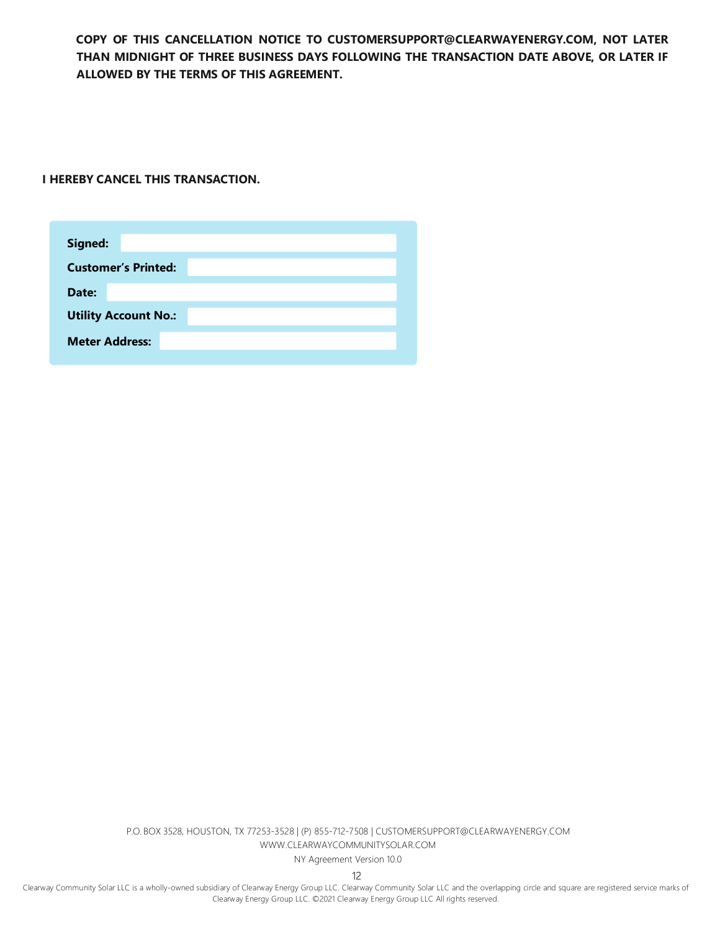**COPY OF THIS CANCELLATION NOTICE TO [CUSTOMERSUPPORT@CLEARWAYENERGY.COM,](mailto:CUSTOMERSUPPORT@CLEARWAYENERGY.COM) NOT LATER THAN MIDNIGHT OF THREE BUSINESS DAYS FOLLOWING THE TRANSACTION DATE ABOVE, OR LATER IF ALLOWED BY THE TERMS OF THIS AGREEMENT.**

**I HEREBY CANCEL THIS TRANSACTION.**

| Signed:                     |                            |  |  |  |  |
|-----------------------------|----------------------------|--|--|--|--|
|                             | <b>Customer's Printed:</b> |  |  |  |  |
| Date:                       |                            |  |  |  |  |
| <b>Utility Account No.:</b> |                            |  |  |  |  |
| <b>Meter Address:</b>       |                            |  |  |  |  |
|                             |                            |  |  |  |  |

P.O. BOX 3528, HOUSTON, TX 77253-3528 | (P) 855-712-7508 [| CUSTOMERSUPPORT@CLEARWAYENERGY.COM](mailto:CUSTOMERSUPPORT@CLEARWAYENERGY.COM) [WWW.CLEARWAYCOMMUNITYSOLAR.COM](http://www.clearwaycommunitysolar.com/)

NY Agreement Version 10.0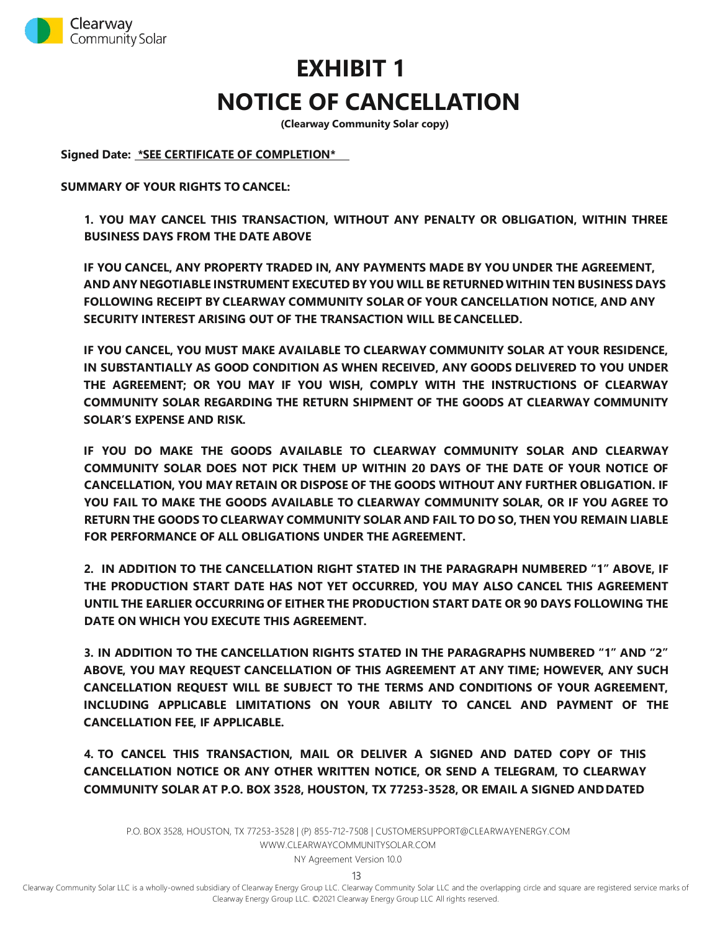

# **EXHIBIT 1 NOTICE OF CANCELLATION**

**(Clearway Community Solar copy)**

**Signed Date: \*SEE CERTIFICATE OF COMPLETION\***

**SUMMARY OF YOUR RIGHTS TO CANCEL:**

**1. YOU MAY CANCEL THIS TRANSACTION, WITHOUT ANY PENALTY OR OBLIGATION, WITHIN THREE BUSINESS DAYS FROM THE DATE ABOVE**

**IF YOU CANCEL, ANY PROPERTY TRADED IN, ANY PAYMENTS MADE BY YOU UNDER THE AGREEMENT, AND ANY NEGOTIABLE INSTRUMENT EXECUTED BY YOU WILL BE RETURNEDWITHIN TEN BUSINESS DAYS FOLLOWING RECEIPT BY CLEARWAY COMMUNITY SOLAR OF YOUR CANCELLATION NOTICE, AND ANY SECURITY INTEREST ARISING OUT OF THE TRANSACTION WILL BE CANCELLED.**

**IF YOU CANCEL, YOU MUST MAKE AVAILABLE TO CLEARWAY COMMUNITY SOLAR AT YOUR RESIDENCE, IN SUBSTANTIALLY AS GOOD CONDITION AS WHEN RECEIVED, ANY GOODS DELIVERED TO YOU UNDER THE AGREEMENT; OR YOU MAY IF YOU WISH, COMPLY WITH THE INSTRUCTIONS OF CLEARWAY COMMUNITY SOLAR REGARDING THE RETURN SHIPMENT OF THE GOODS AT CLEARWAY COMMUNITY SOLAR'S EXPENSE AND RISK.**

**IF YOU DO MAKE THE GOODS AVAILABLE TO CLEARWAY COMMUNITY SOLAR AND CLEARWAY COMMUNITY SOLAR DOES NOT PICK THEM UP WITHIN 20 DAYS OF THE DATE OF YOUR NOTICE OF CANCELLATION, YOU MAY RETAIN OR DISPOSE OF THE GOODS WITHOUT ANY FURTHER OBLIGATION. IF YOU FAIL TO MAKE THE GOODS AVAILABLE TO CLEARWAY COMMUNITY SOLAR, OR IF YOU AGREE TO RETURN THE GOODS TO CLEARWAY COMMUNITY SOLAR AND FAIL TO DO SO, THEN YOU REMAIN LIABLE FOR PERFORMANCE OF ALL OBLIGATIONS UNDER THE AGREEMENT.**

**2. IN ADDITION TO THE CANCELLATION RIGHT STATED IN THE PARAGRAPH NUMBERED "1" ABOVE, IF THE PRODUCTION START DATE HAS NOT YET OCCURRED, YOU MAY ALSO CANCEL THIS AGREEMENT UNTIL THE EARLIER OCCURRING OF EITHER THE PRODUCTION START DATE OR 90 DAYS FOLLOWING THE DATE ON WHICH YOU EXECUTE THIS AGREEMENT.**

**3. IN ADDITION TO THE CANCELLATION RIGHTS STATED IN THE PARAGRAPHS NUMBERED "1" AND "2" ABOVE, YOU MAY REQUEST CANCELLATION OF THIS AGREEMENT AT ANY TIME; HOWEVER, ANY SUCH CANCELLATION REQUEST WILL BE SUBJECT TO THE TERMS AND CONDITIONS OF YOUR AGREEMENT, INCLUDING APPLICABLE LIMITATIONS ON YOUR ABILITY TO CANCEL AND PAYMENT OF THE CANCELLATION FEE, IF APPLICABLE.**

**4. TO CANCEL THIS TRANSACTION, MAIL OR DELIVER A SIGNED AND DATED COPY OF THIS CANCELLATION NOTICE OR ANY OTHER WRITTEN NOTICE, OR SEND A TELEGRAM, TO CLEARWAY COMMUNITY SOLAR AT P.O. BOX 3528, HOUSTON, TX 77253-3528, OR EMAIL A SIGNED ANDDATED**

P.O. BOX 3528, HOUSTON, TX 77253-3528 | (P) 855-712-7508 [| CUSTOMERSUPPORT@CLEARWAYENERGY.COM](mailto:CUSTOMERSUPPORT@CLEARWAYENERGY.COM) [WWW.CLEARWAYCOMMUNITYSOLAR.COM](http://www.clearwaycommunitysolar.com/)

NY Agreement Version 10.0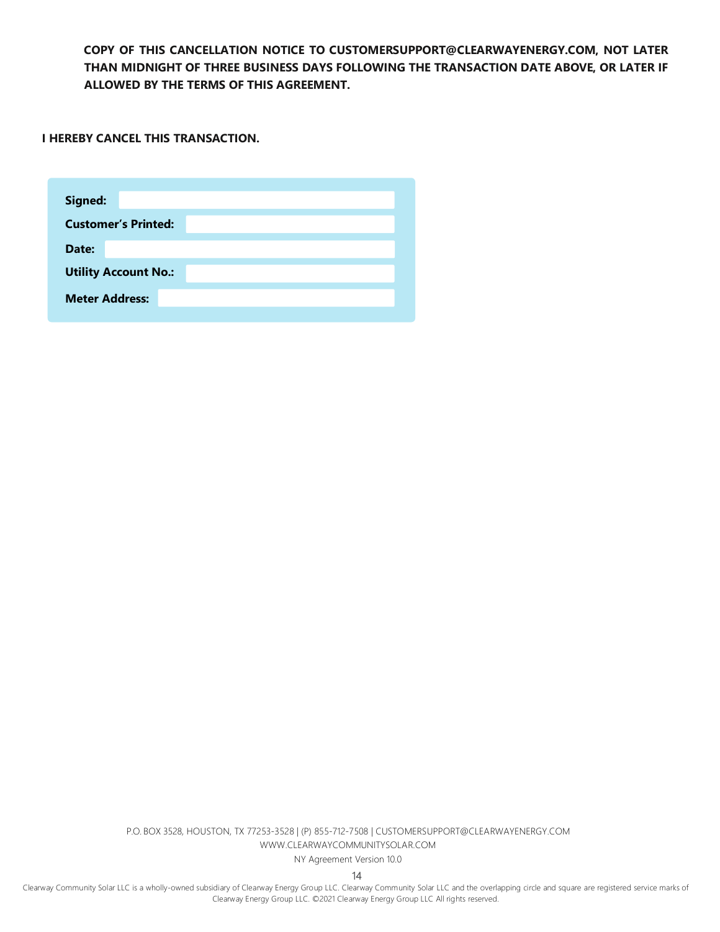**COPY OF THIS CANCELLATION NOTICE TO [CUSTOMERSUPPORT@CLEARWAYENERGY.COM, N](mailto:CUSTOMERSUPPORT@CLEARWAYENERGY.COM)OT LATER THAN MIDNIGHT OF THREE BUSINESS DAYS FOLLOWING THE TRANSACTION DATE ABOVE, OR LATER IF ALLOWED BY THE TERMS OF THIS AGREEMENT.**

**I HEREBY CANCEL THIS TRANSACTION.**

| <b>Customer's Printed:</b>  |  |  |  |  |  |
|-----------------------------|--|--|--|--|--|
|                             |  |  |  |  |  |
| Date:                       |  |  |  |  |  |
| <b>Utility Account No.:</b> |  |  |  |  |  |
| <b>Meter Address:</b>       |  |  |  |  |  |

P.O. BOX 3528, HOUSTON, TX 77253-3528 | (P) 855-712-7508 [| CUSTOMERSUPPORT@CLEARWAYENERGY.COM](mailto:CUSTOMERSUPPORT@CLEARWAYENERGY.COM) [WWW.CLEARWAYCOMMUNITYSOLAR.COM](http://www.clearwaycommunitysolar.com/)

NY Agreement Version 10.0

14